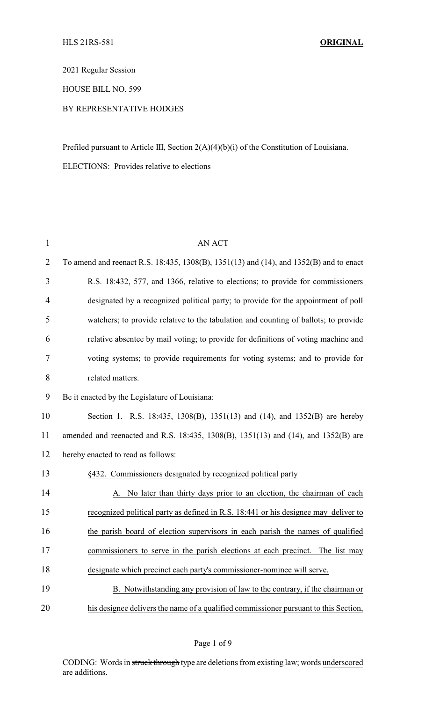2021 Regular Session

HOUSE BILL NO. 599

## BY REPRESENTATIVE HODGES

Prefiled pursuant to Article III, Section 2(A)(4)(b)(i) of the Constitution of Louisiana. ELECTIONS: Provides relative to elections

| $\mathbf{1}$   | AN ACT                                                                                 |
|----------------|----------------------------------------------------------------------------------------|
| $\overline{2}$ | To amend and reenact R.S. 18:435, 1308(B), 1351(13) and (14), and 1352(B) and to enact |
| 3              | R.S. 18:432, 577, and 1366, relative to elections; to provide for commissioners        |
| $\overline{4}$ | designated by a recognized political party; to provide for the appointment of poll     |
| 5              | watchers; to provide relative to the tabulation and counting of ballots; to provide    |
| 6              | relative absentee by mail voting; to provide for definitions of voting machine and     |
| 7              | voting systems; to provide requirements for voting systems; and to provide for         |
| $8\,$          | related matters.                                                                       |
| 9              | Be it enacted by the Legislature of Louisiana:                                         |
| 10             | Section 1. R.S. 18:435, 1308(B), 1351(13) and (14), and 1352(B) are hereby             |
| 11             | amended and reenacted and R.S. 18:435, 1308(B), 1351(13) and (14), and 1352(B) are     |
| 12             | hereby enacted to read as follows:                                                     |
| 13             | §432. Commissioners designated by recognized political party                           |
| 14             | A. No later than thirty days prior to an election, the chairman of each                |
| 15             | recognized political party as defined in R.S. 18:441 or his designee may deliver to    |
| 16             | the parish board of election supervisors in each parish the names of qualified         |
| 17             | commissioners to serve in the parish elections at each precinct. The list may          |
| 18             | designate which precinct each party's commissioner-nominee will serve.                 |
| 19             | B. Notwithstanding any provision of law to the contrary, if the chairman or            |
| 20             | his designee delivers the name of a qualified commissioner pursuant to this Section,   |

Page 1 of 9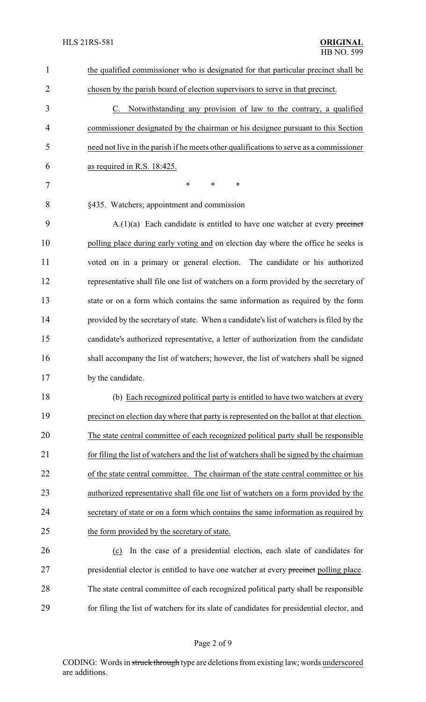| $\mathbf{1}$   | the qualified commissioner who is designated for that particular precinct shall be        |
|----------------|-------------------------------------------------------------------------------------------|
| $\overline{2}$ | chosen by the parish board of election supervisors to serve in that precinct.             |
| 3              | C. Notwithstanding any provision of law to the contrary, a qualified                      |
| 4              | commissioner designated by the chairman or his designee pursuant to this Section          |
| 5              | need not live in the parish if he meets other qualifications to serve as a commissioner   |
| 6              | as required in R.S. 18:425.                                                               |
| 7              | $\ast$<br>∗<br>$\ast$                                                                     |
| 8              | §435. Watchers; appointment and commission                                                |
| 9              | $A(1)(a)$ Each candidate is entitled to have one watcher at every precinct                |
| 10             | polling place during early voting and on election day where the office he seeks is        |
| 11             | voted on in a primary or general election. The candidate or his authorized                |
| 12             | representative shall file one list of watchers on a form provided by the secretary of     |
| 13             | state or on a form which contains the same information as required by the form            |
| 14             | provided by the secretary of state. When a candidate's list of watchers is filed by the   |
| 15             | candidate's authorized representative, a letter of authorization from the candidate       |
| 16             | shall accompany the list of watchers; however, the list of watchers shall be signed       |
| 17             | by the candidate.                                                                         |
| 18             | (b) Each recognized political party is entitled to have two watchers at every             |
| 19             | precinct on election day where that party is represented on the ballot at that election.  |
| 20             | The state central committee of each recognized political party shall be responsible       |
| 21             | for filing the list of watchers and the list of watchers shall be signed by the chairman  |
| 22             | of the state central committee. The chairman of the state central committee or his        |
| 23             | authorized representative shall file one list of watchers on a form provided by the       |
| 24             | secretary of state or on a form which contains the same information as required by        |
| 25             | the form provided by the secretary of state.                                              |
| 26             | In the case of a presidential election, each slate of candidates for<br>(c)               |
| 27             | presidential elector is entitled to have one watcher at every precinct polling place.     |
| 28             | The state central committee of each recognized political party shall be responsible       |
| 29             | for filing the list of watchers for its slate of candidates for presidential elector, and |
|                |                                                                                           |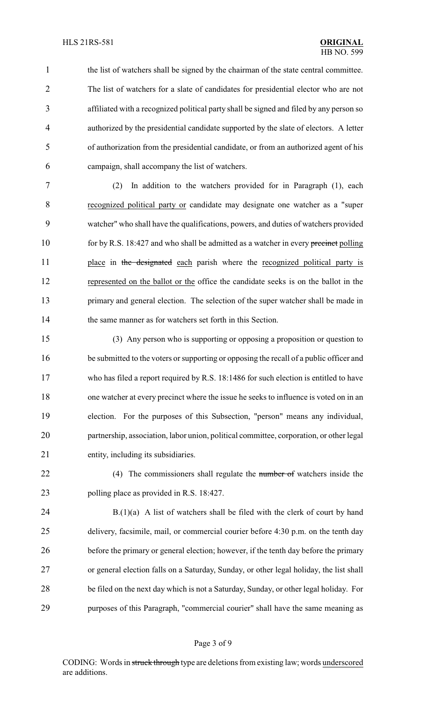the list of watchers shall be signed by the chairman of the state central committee. The list of watchers for a slate of candidates for presidential elector who are not affiliated with a recognized political party shall be signed and filed by any person so authorized by the presidential candidate supported by the slate of electors. A letter of authorization from the presidential candidate, or from an authorized agent of his campaign, shall accompany the list of watchers.

 (2) In addition to the watchers provided for in Paragraph (1), each recognized political party or candidate may designate one watcher as a "super watcher" who shall have the qualifications, powers, and duties of watchers provided 10 for by R.S. 18:427 and who shall be admitted as a watcher in every precinct polling 11 place in the designated each parish where the recognized political party is represented on the ballot or the office the candidate seeks is on the ballot in the primary and general election. The selection of the super watcher shall be made in the same manner as for watchers set forth in this Section.

 (3) Any person who is supporting or opposing a proposition or question to 16 be submitted to the voters or supporting or opposing the recall of a public officer and who has filed a report required by R.S. 18:1486 for such election is entitled to have one watcher at every precinct where the issue he seeks to influence is voted on in an election. For the purposes of this Subsection, "person" means any individual, partnership, association, labor union, political committee, corporation, or other legal entity, including its subsidiaries.

22 (4) The commissioners shall regulate the number of watchers inside the 23 polling place as provided in R.S. 18:427.

 B.(1)(a) A list of watchers shall be filed with the clerk of court by hand delivery, facsimile, mail, or commercial courier before 4:30 p.m. on the tenth day before the primary or general election; however, if the tenth day before the primary or general election falls on a Saturday, Sunday, or other legal holiday, the list shall be filed on the next day which is not a Saturday, Sunday, or other legal holiday. For purposes of this Paragraph, "commercial courier" shall have the same meaning as

### Page 3 of 9

CODING: Words in struck through type are deletions from existing law; words underscored are additions.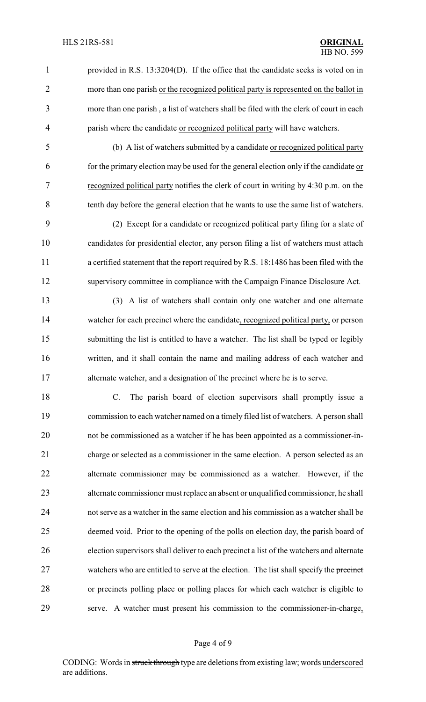provided in R.S. 13:3204(D). If the office that the candidate seeks is voted on in more than one parish or the recognized political party is represented on the ballot in more than one parish , a list of watchers shall be filed with the clerk of court in each 4 parish where the candidate or recognized political party will have watchers.

 (b) A list of watchers submitted by a candidate or recognized political party for the primary election may be used for the general election only if the candidate or recognized political party notifies the clerk of court in writing by 4:30 p.m. on the tenth day before the general election that he wants to use the same list of watchers.

 (2) Except for a candidate or recognized political party filing for a slate of candidates for presidential elector, any person filing a list of watchers must attach a certified statement that the report required by R.S. 18:1486 has been filed with the supervisory committee in compliance with the Campaign Finance Disclosure Act.

 (3) A list of watchers shall contain only one watcher and one alternate watcher for each precinct where the candidate, recognized political party, or person submitting the list is entitled to have a watcher. The list shall be typed or legibly written, and it shall contain the name and mailing address of each watcher and 17 alternate watcher, and a designation of the precinct where he is to serve.

 C. The parish board of election supervisors shall promptly issue a commission to each watcher named on a timely filed list of watchers. A person shall not be commissioned as a watcher if he has been appointed as a commissioner-in- charge or selected as a commissioner in the same election. A person selected as an alternate commissioner may be commissioned as a watcher. However, if the alternate commissioner must replace an absent or unqualified commissioner, he shall not serve as a watcher in the same election and his commission as a watcher shall be deemed void. Prior to the opening of the polls on election day, the parish board of election supervisors shall deliver to each precinct a list of the watchers and alternate 27 watchers who are entitled to serve at the election. The list shall specify the precinct 28 or precincts polling place or polling places for which each watcher is eligible to serve. A watcher must present his commission to the commissioner-in-charge,

### Page 4 of 9

CODING: Words in struck through type are deletions from existing law; words underscored are additions.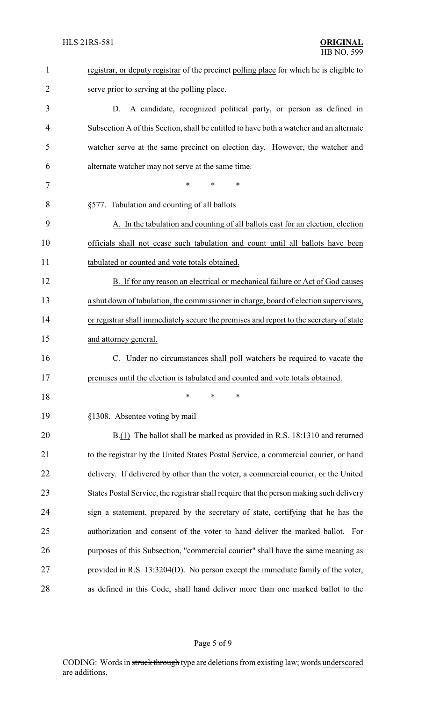| $\mathbf{1}$   | registrar, or deputy registrar of the precinct polling place for which he is eligible to |
|----------------|------------------------------------------------------------------------------------------|
| $\overline{2}$ | serve prior to serving at the polling place.                                             |
| 3              | A candidate, recognized political party, or person as defined in<br>D.                   |
| 4              | Subsection A of this Section, shall be entitled to have both a watcher and an alternate  |
| 5              | watcher serve at the same precinct on election day. However, the watcher and             |
| 6              | alternate watcher may not serve at the same time.                                        |
| 7              | *<br>*<br>*                                                                              |
| 8              | §577. Tabulation and counting of all ballots                                             |
| 9              | A. In the tabulation and counting of all ballots cast for an election, election          |
| 10             | officials shall not cease such tabulation and count until all ballots have been          |
| 11             | tabulated or counted and vote totals obtained.                                           |
| 12             | B. If for any reason an electrical or mechanical failure or Act of God causes            |
| 13             | a shut down of tabulation, the commissioner in charge, board of election supervisors,    |
| 14             | or registrar shall immediately secure the premises and report to the secretary of state  |
| 15             | and attorney general.                                                                    |
| 16             | Under no circumstances shall poll watchers be required to vacate the                     |
| 17             | premises until the election is tabulated and counted and vote totals obtained.           |
| 18             | ∗<br>∗<br>*                                                                              |
| 19             | §1308. Absentee voting by mail                                                           |
| 20             | B.(1) The ballot shall be marked as provided in R.S. 18:1310 and returned                |
| 21             | to the registrar by the United States Postal Service, a commercial courier, or hand      |
| 22             | delivery. If delivered by other than the voter, a commercial courier, or the United      |
| 23             | States Postal Service, the registrar shall require that the person making such delivery  |
| 24             | sign a statement, prepared by the secretary of state, certifying that he has the         |
| 25             | authorization and consent of the voter to hand deliver the marked ballot. For            |
| 26             | purposes of this Subsection, "commercial courier" shall have the same meaning as         |
| 27             | provided in R.S. 13:3204(D). No person except the immediate family of the voter,         |
| 28             | as defined in this Code, shall hand deliver more than one marked ballot to the           |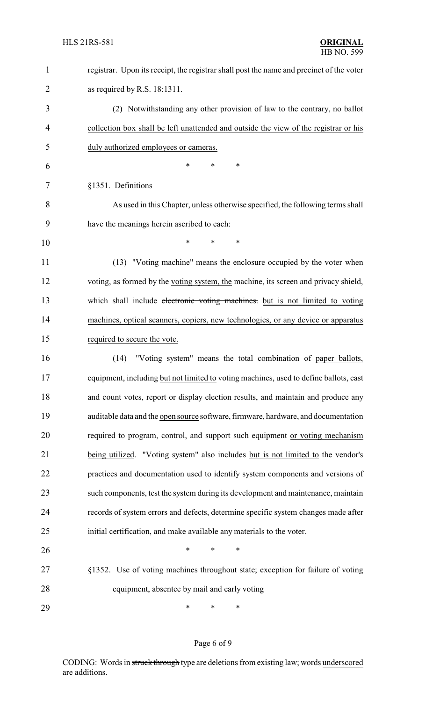| $\mathbf{1}$   | registrar. Upon its receipt, the registrar shall post the name and precinct of the voter |
|----------------|------------------------------------------------------------------------------------------|
| $\overline{2}$ | as required by R.S. $18:1311$ .                                                          |
| 3              | (2) Notwithstanding any other provision of law to the contrary, no ballot                |
| 4              | collection box shall be left unattended and outside the view of the registrar or his     |
| 5              | duly authorized employees or cameras.                                                    |
| 6              | $\ast$<br>∗<br>*                                                                         |
| 7              | §1351. Definitions                                                                       |
| 8              | As used in this Chapter, unless otherwise specified, the following terms shall           |
| 9              | have the meanings herein ascribed to each:                                               |
| 10             | $\ast$<br>*<br>*                                                                         |
| 11             | (13) "Voting machine" means the enclosure occupied by the voter when                     |
| 12             | voting, as formed by the voting system, the machine, its screen and privacy shield,      |
| 13             | which shall include electronic voting machines. but is not limited to voting             |
| 14             | machines, optical scanners, copiers, new technologies, or any device or apparatus        |
| 15             | required to secure the vote.                                                             |
| 16             | "Voting system" means the total combination of paper ballots,<br>(14)                    |
| 17             | equipment, including but not limited to voting machines, used to define ballots, cast    |
| 18             | and count votes, report or display election results, and maintain and produce any        |
| 19             | auditable data and the open source software, firmware, hardware, and documentation       |
| 20             | required to program, control, and support such equipment or voting mechanism             |
| 21             | being utilized. "Voting system" also includes but is not limited to the vendor's         |
| 22             | practices and documentation used to identify system components and versions of           |
| 23             | such components, test the system during its development and maintenance, maintain        |
| 24             | records of system errors and defects, determine specific system changes made after       |
| 25             | initial certification, and make available any materials to the voter.                    |
| 26             | $\ast$<br>∗<br>∗                                                                         |
| 27             | §1352. Use of voting machines throughout state; exception for failure of voting          |
| 28             | equipment, absentee by mail and early voting                                             |
| 29             | $\ast$<br>∗<br>∗                                                                         |

# Page 6 of 9

CODING: Words in struck through type are deletions from existing law; words underscored are additions.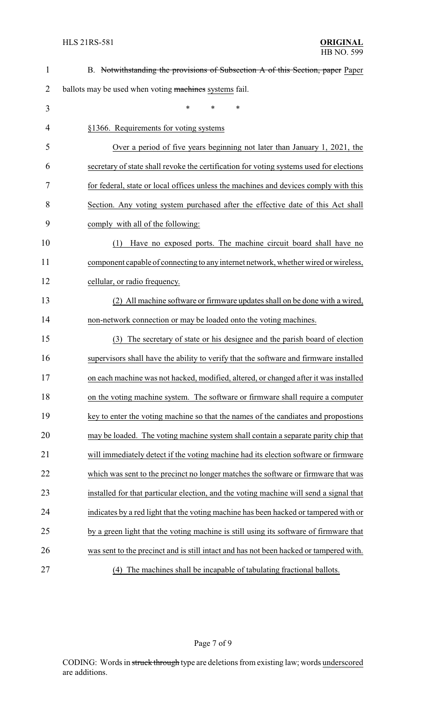| $\mathbf{1}$   | B. Notwithstanding the provisions of Subsection A of this Section, paper Paper          |
|----------------|-----------------------------------------------------------------------------------------|
| $\overline{2}$ | ballots may be used when voting machines systems fail.                                  |
| 3              | $\ast$<br>*<br>$\ast$                                                                   |
| 4              | §1366. Requirements for voting systems                                                  |
| 5              | Over a period of five years beginning not later than January 1, 2021, the               |
| 6              | secretary of state shall revoke the certification for voting systems used for elections |
| 7              | for federal, state or local offices unless the machines and devices comply with this    |
| 8              | Section. Any voting system purchased after the effective date of this Act shall         |
| 9              | comply with all of the following:                                                       |
| 10             | Have no exposed ports. The machine circuit board shall have no<br>(1)                   |
| 11             | component capable of connecting to any internet network, whether wired or wireless,     |
| 12             | cellular, or radio frequency.                                                           |
| 13             | (2) All machine software or firmware updates shall on be done with a wired,             |
| 14             | non-network connection or may be loaded onto the voting machines.                       |
| 15             | The secretary of state or his designee and the parish board of election<br>(3)          |
| 16             | supervisors shall have the ability to verify that the software and firmware installed   |
| 17             | on each machine was not hacked, modified, altered, or changed after it was installed    |
| 18             | on the voting machine system. The software or firmware shall require a computer         |
| 19             | key to enter the voting machine so that the names of the candiates and propostions      |
| 20             | may be loaded. The voting machine system shall contain a separate parity chip that      |
| 21             | will immediately detect if the voting machine had its election software or firmware     |
| 22             | which was sent to the precinct no longer matches the software or firmware that was      |
| 23             | installed for that particular election, and the voting machine will send a signal that  |
| 24             | indicates by a red light that the voting machine has been hacked or tampered with or    |
| 25             | by a green light that the voting machine is still using its software of firmware that   |
| 26             | was sent to the precinct and is still intact and has not been hacked or tampered with.  |
| 27             | The machines shall be incapable of tabulating fractional ballots.<br>(4)                |

Page 7 of 9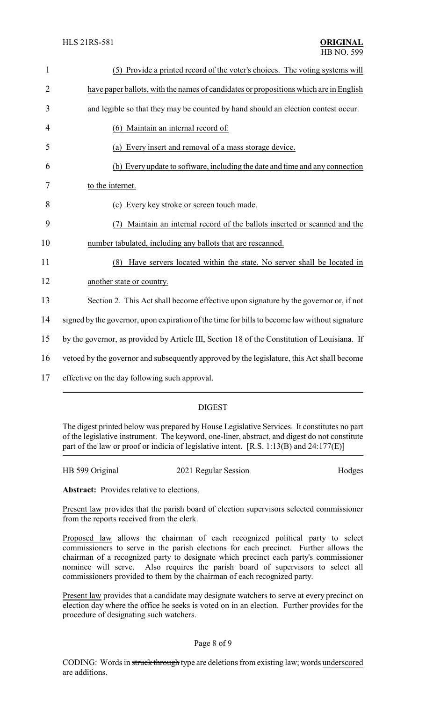| $\mathbf{1}$   | (5) Provide a printed record of the voter's choices. The voting systems will                  |
|----------------|-----------------------------------------------------------------------------------------------|
| $\overline{2}$ | have paper ballots, with the names of candidates or propositions which are in English         |
| 3              | and legible so that they may be counted by hand should an election contest occur.             |
| 4              | (6) Maintain an internal record of:                                                           |
| 5              | (a) Every insert and removal of a mass storage device.                                        |
| 6              | (b) Every update to software, including the date and time and any connection                  |
| 7              | to the internet.                                                                              |
| 8              | (c) Every key stroke or screen touch made.                                                    |
| 9              | Maintain an internal record of the ballots inserted or scanned and the                        |
| 10             | number tabulated, including any ballots that are rescanned.                                   |
| 11             | Have servers located within the state. No server shall be located in<br>(8)                   |
| 12             | another state or country.                                                                     |
| 13             | Section 2. This Act shall become effective upon signature by the governor or, if not          |
| 14             | signed by the governor, upon expiration of the time for bills to become law without signature |
| 15             | by the governor, as provided by Article III, Section 18 of the Constitution of Louisiana. If  |
| 16             | vetoed by the governor and subsequently approved by the legislature, this Act shall become    |
| 17             | effective on the day following such approval.                                                 |

# DIGEST

The digest printed below was prepared by House Legislative Services. It constitutes no part of the legislative instrument. The keyword, one-liner, abstract, and digest do not constitute part of the law or proof or indicia of legislative intent. [R.S. 1:13(B) and 24:177(E)]

HB 599 Original 2021 Regular Session Hodges

**Abstract:** Provides relative to elections.

Present law provides that the parish board of election supervisors selected commissioner from the reports received from the clerk.

Proposed law allows the chairman of each recognized political party to select commissioners to serve in the parish elections for each precinct. Further allows the chairman of a recognized party to designate which precinct each party's commissioner nominee will serve. Also requires the parish board of supervisors to select all commissioners provided to them by the chairman of each recognized party.

Present law provides that a candidate may designate watchers to serve at every precinct on election day where the office he seeks is voted on in an election. Further provides for the procedure of designating such watchers.

### Page 8 of 9